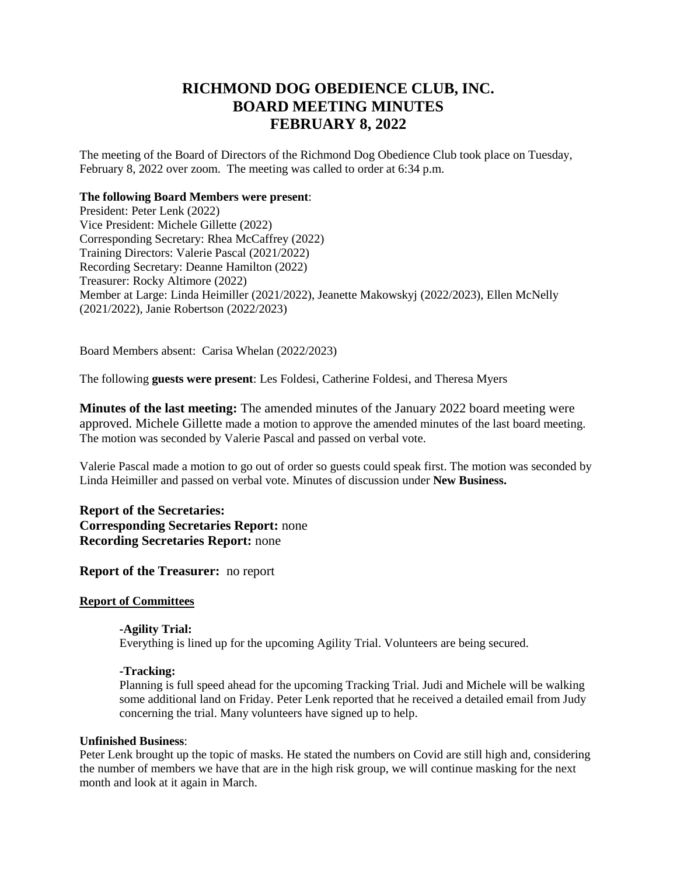# **RICHMOND DOG OBEDIENCE CLUB, INC. BOARD MEETING MINUTES FEBRUARY 8, 2022**

The meeting of the Board of Directors of the Richmond Dog Obedience Club took place on Tuesday, February 8, 2022 over zoom. The meeting was called to order at 6:34 p.m.

#### **The following Board Members were present**:

President: Peter Lenk (2022) Vice President: Michele Gillette (2022) Corresponding Secretary: Rhea McCaffrey (2022) Training Directors: Valerie Pascal (2021/2022) Recording Secretary: Deanne Hamilton (2022) Treasurer: Rocky Altimore (2022) Member at Large: Linda Heimiller (2021/2022), Jeanette Makowskyj (2022/2023), Ellen McNelly (2021/2022), Janie Robertson (2022/2023)

Board Members absent: Carisa Whelan (2022/2023)

The following **guests were present**: Les Foldesi, Catherine Foldesi, and Theresa Myers

**Minutes of the last meeting:** The amended minutes of the January 2022 board meeting were approved. Michele Gillette made a motion to approve the amended minutes of the last board meeting. The motion was seconded by Valerie Pascal and passed on verbal vote.

Valerie Pascal made a motion to go out of order so guests could speak first. The motion was seconded by Linda Heimiller and passed on verbal vote. Minutes of discussion under **New Business.**

# **Report of the Secretaries: Corresponding Secretaries Report:** none **Recording Secretaries Report:** none

## **Report of the Treasurer:** no report

# **Report of Committees**

## **-Agility Trial:**

Everything is lined up for the upcoming Agility Trial. Volunteers are being secured.

## **-Tracking:**

Planning is full speed ahead for the upcoming Tracking Trial. Judi and Michele will be walking some additional land on Friday. Peter Lenk reported that he received a detailed email from Judy concerning the trial. Many volunteers have signed up to help.

#### **Unfinished Business**:

Peter Lenk brought up the topic of masks. He stated the numbers on Covid are still high and, considering the number of members we have that are in the high risk group, we will continue masking for the next month and look at it again in March.